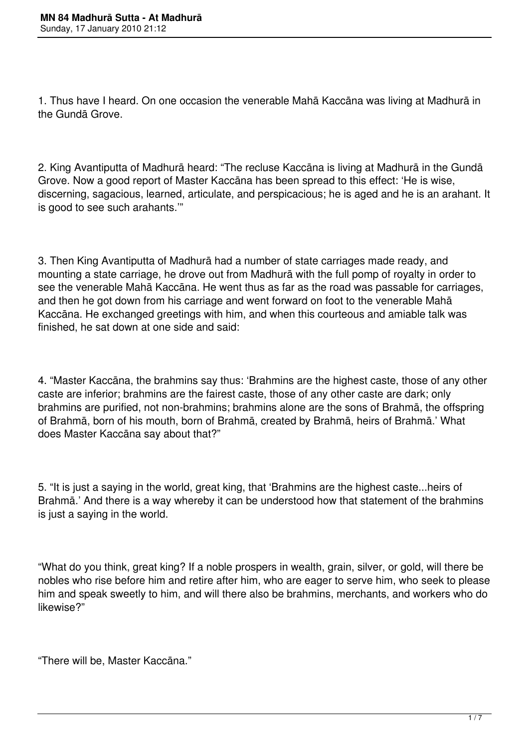1. Thus have I heard. On one occasion the venerable Mahā Kaccāna was living at Madhurā in the Gundā Grove.

2. King Avantiputta of Madhurā heard: "The recluse Kaccāna is living at Madhurā in the Gundā Grove. Now a good report of Master Kaccāna has been spread to this effect: 'He is wise, discerning, sagacious, learned, articulate, and perspicacious; he is aged and he is an arahant. It is good to see such arahants.'"

3. Then King Avantiputta of Madhurā had a number of state carriages made ready, and mounting a state carriage, he drove out from Madhurā with the full pomp of royalty in order to see the venerable Mahā Kaccāna. He went thus as far as the road was passable for carriages, and then he got down from his carriage and went forward on foot to the venerable Mahā Kaccāna. He exchanged greetings with him, and when this courteous and amiable talk was finished, he sat down at one side and said:

4. "Master Kaccāna, the brahmins say thus: 'Brahmins are the highest caste, those of any other caste are inferior; brahmins are the fairest caste, those of any other caste are dark; only brahmins are purified, not non-brahmins; brahmins alone are the sons of Brahmā, the offspring of Brahmā, born of his mouth, born of Brahmā, created by Brahmā, heirs of Brahmā.' What does Master Kaccāna say about that?"

5. "It is just a saying in the world, great king, that 'Brahmins are the highest caste...heirs of Brahmā.' And there is a way whereby it can be understood how that statement of the brahmins is just a saying in the world.

"What do you think, great king? If a noble prospers in wealth, grain, silver, or gold, will there be nobles who rise before him and retire after him, who are eager to serve him, who seek to please him and speak sweetly to him, and will there also be brahmins, merchants, and workers who do likewise?"

"There will be, Master Kaccāna."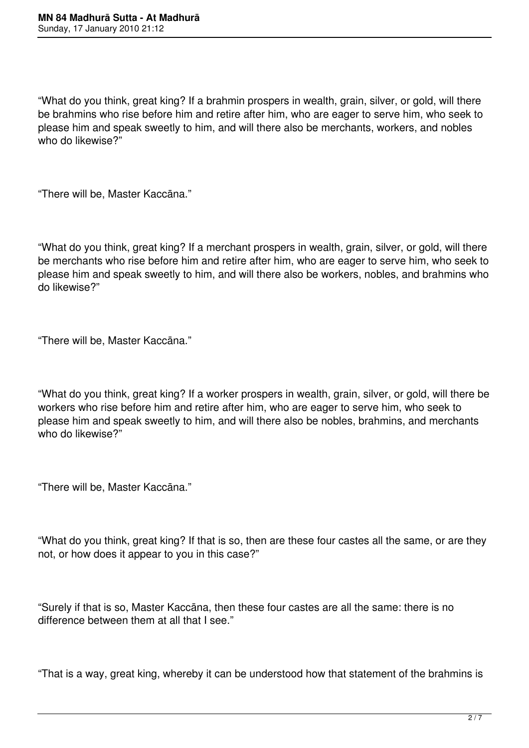"What do you think, great king? If a brahmin prospers in wealth, grain, silver, or gold, will there be brahmins who rise before him and retire after him, who are eager to serve him, who seek to please him and speak sweetly to him, and will there also be merchants, workers, and nobles who do likewise?"

"There will be, Master Kaccāna."

"What do you think, great king? If a merchant prospers in wealth, grain, silver, or gold, will there be merchants who rise before him and retire after him, who are eager to serve him, who seek to please him and speak sweetly to him, and will there also be workers, nobles, and brahmins who do likewise?"

"There will be, Master Kaccāna."

"What do you think, great king? If a worker prospers in wealth, grain, silver, or gold, will there be workers who rise before him and retire after him, who are eager to serve him, who seek to please him and speak sweetly to him, and will there also be nobles, brahmins, and merchants who do likewise?"

"There will be, Master Kaccāna."

"What do you think, great king? If that is so, then are these four castes all the same, or are they not, or how does it appear to you in this case?"

"Surely if that is so, Master Kaccāna, then these four castes are all the same: there is no difference between them at all that I see."

"That is a way, great king, whereby it can be understood how that statement of the brahmins is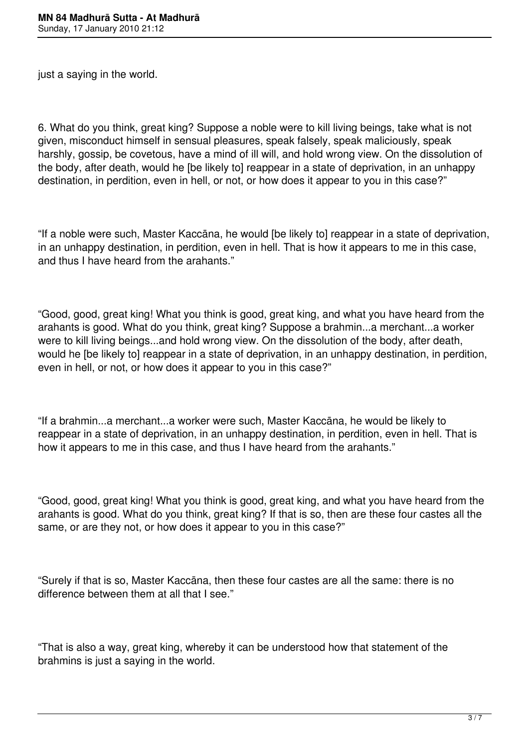just a saying in the world.

6. What do you think, great king? Suppose a noble were to kill living beings, take what is not given, misconduct himself in sensual pleasures, speak falsely, speak maliciously, speak harshly, gossip, be covetous, have a mind of ill will, and hold wrong view. On the dissolution of the body, after death, would he [be likely to] reappear in a state of deprivation, in an unhappy destination, in perdition, even in hell, or not, or how does it appear to you in this case?"

"If a noble were such, Master Kaccāna, he would [be likely to] reappear in a state of deprivation, in an unhappy destination, in perdition, even in hell. That is how it appears to me in this case, and thus I have heard from the arahants."

"Good, good, great king! What you think is good, great king, and what you have heard from the arahants is good. What do you think, great king? Suppose a brahmin...a merchant...a worker were to kill living beings...and hold wrong view. On the dissolution of the body, after death, would he [be likely to] reappear in a state of deprivation, in an unhappy destination, in perdition, even in hell, or not, or how does it appear to you in this case?"

"If a brahmin...a merchant...a worker were such, Master Kaccāna, he would be likely to reappear in a state of deprivation, in an unhappy destination, in perdition, even in hell. That is how it appears to me in this case, and thus I have heard from the arahants."

"Good, good, great king! What you think is good, great king, and what you have heard from the arahants is good. What do you think, great king? If that is so, then are these four castes all the same, or are they not, or how does it appear to you in this case?"

"Surely if that is so, Master Kaccāna, then these four castes are all the same: there is no difference between them at all that I see."

"That is also a way, great king, whereby it can be understood how that statement of the brahmins is just a saying in the world.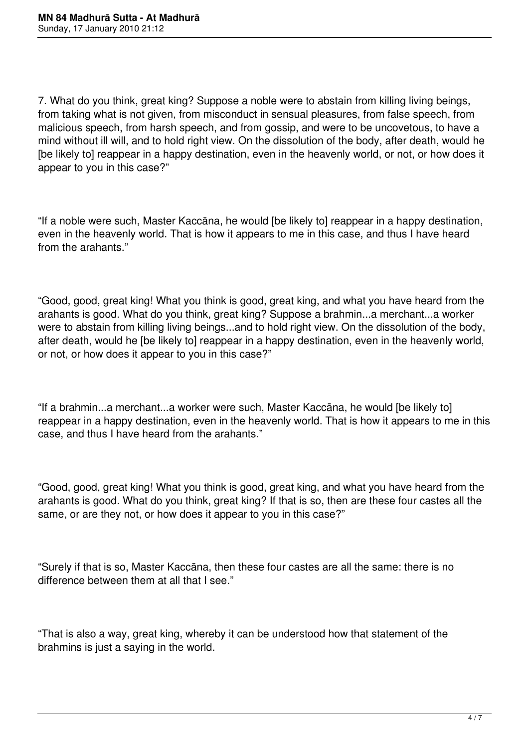7. What do you think, great king? Suppose a noble were to abstain from killing living beings, from taking what is not given, from misconduct in sensual pleasures, from false speech, from malicious speech, from harsh speech, and from gossip, and were to be uncovetous, to have a mind without ill will, and to hold right view. On the dissolution of the body, after death, would he [be likely to] reappear in a happy destination, even in the heavenly world, or not, or how does it appear to you in this case?"

"If a noble were such, Master Kaccāna, he would [be likely to] reappear in a happy destination, even in the heavenly world. That is how it appears to me in this case, and thus I have heard from the arahants."

"Good, good, great king! What you think is good, great king, and what you have heard from the arahants is good. What do you think, great king? Suppose a brahmin...a merchant...a worker were to abstain from killing living beings...and to hold right view. On the dissolution of the body, after death, would he [be likely to] reappear in a happy destination, even in the heavenly world, or not, or how does it appear to you in this case?"

"If a brahmin...a merchant...a worker were such, Master Kaccāna, he would [be likely to] reappear in a happy destination, even in the heavenly world. That is how it appears to me in this case, and thus I have heard from the arahants."

"Good, good, great king! What you think is good, great king, and what you have heard from the arahants is good. What do you think, great king? If that is so, then are these four castes all the same, or are they not, or how does it appear to you in this case?"

"Surely if that is so, Master Kaccāna, then these four castes are all the same: there is no difference between them at all that I see."

"That is also a way, great king, whereby it can be understood how that statement of the brahmins is just a saying in the world.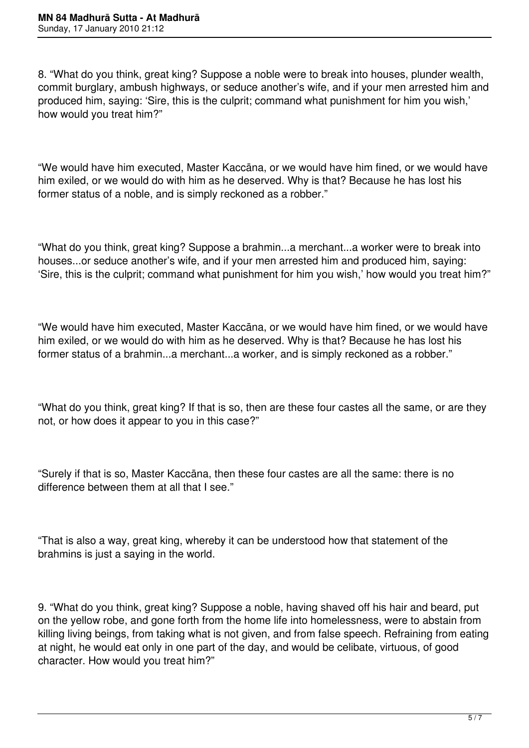8. "What do you think, great king? Suppose a noble were to break into houses, plunder wealth, commit burglary, ambush highways, or seduce another's wife, and if your men arrested him and produced him, saying: 'Sire, this is the culprit; command what punishment for him you wish,' how would you treat him?"

"We would have him executed, Master Kaccāna, or we would have him fined, or we would have him exiled, or we would do with him as he deserved. Why is that? Because he has lost his former status of a noble, and is simply reckoned as a robber."

"What do you think, great king? Suppose a brahmin...a merchant...a worker were to break into houses...or seduce another's wife, and if your men arrested him and produced him, saying: 'Sire, this is the culprit; command what punishment for him you wish,' how would you treat him?"

"We would have him executed, Master Kaccāna, or we would have him fined, or we would have him exiled, or we would do with him as he deserved. Why is that? Because he has lost his former status of a brahmin...a merchant...a worker, and is simply reckoned as a robber."

"What do you think, great king? If that is so, then are these four castes all the same, or are they not, or how does it appear to you in this case?"

"Surely if that is so, Master Kaccāna, then these four castes are all the same: there is no difference between them at all that I see."

"That is also a way, great king, whereby it can be understood how that statement of the brahmins is just a saying in the world.

9. "What do you think, great king? Suppose a noble, having shaved off his hair and beard, put on the yellow robe, and gone forth from the home life into homelessness, were to abstain from killing living beings, from taking what is not given, and from false speech. Refraining from eating at night, he would eat only in one part of the day, and would be celibate, virtuous, of good character. How would you treat him?"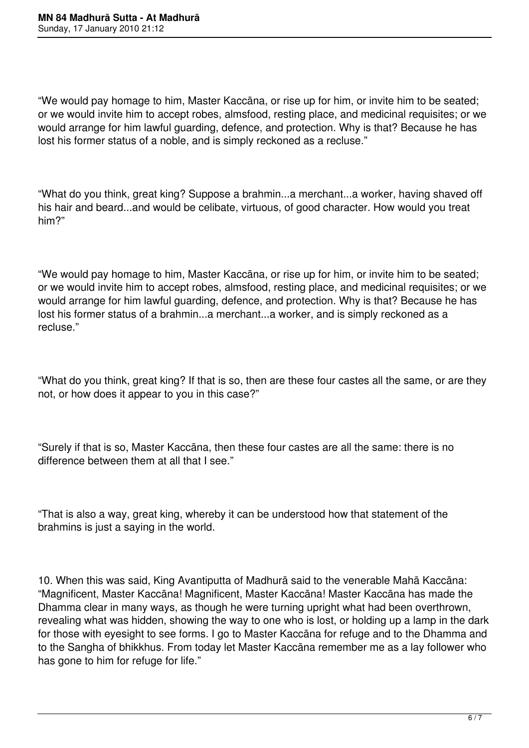"We would pay homage to him, Master Kaccāna, or rise up for him, or invite him to be seated; or we would invite him to accept robes, almsfood, resting place, and medicinal requisites; or we would arrange for him lawful guarding, defence, and protection. Why is that? Because he has lost his former status of a noble, and is simply reckoned as a recluse."

"What do you think, great king? Suppose a brahmin...a merchant...a worker, having shaved off his hair and beard...and would be celibate, virtuous, of good character. How would you treat him?"

"We would pay homage to him, Master Kaccāna, or rise up for him, or invite him to be seated; or we would invite him to accept robes, almsfood, resting place, and medicinal requisites; or we would arrange for him lawful guarding, defence, and protection. Why is that? Because he has lost his former status of a brahmin...a merchant...a worker, and is simply reckoned as a recluse."

"What do you think, great king? If that is so, then are these four castes all the same, or are they not, or how does it appear to you in this case?"

"Surely if that is so, Master Kaccāna, then these four castes are all the same: there is no difference between them at all that I see."

"That is also a way, great king, whereby it can be understood how that statement of the brahmins is just a saying in the world.

10. When this was said, King Avantiputta of Madhurā said to the venerable Mahā Kaccāna: "Magnificent, Master Kaccāna! Magnificent, Master Kaccāna! Master Kaccāna has made the Dhamma clear in many ways, as though he were turning upright what had been overthrown, revealing what was hidden, showing the way to one who is lost, or holding up a lamp in the dark for those with eyesight to see forms. I go to Master Kaccāna for refuge and to the Dhamma and to the Sangha of bhikkhus. From today let Master Kaccāna remember me as a lay follower who has gone to him for refuge for life."